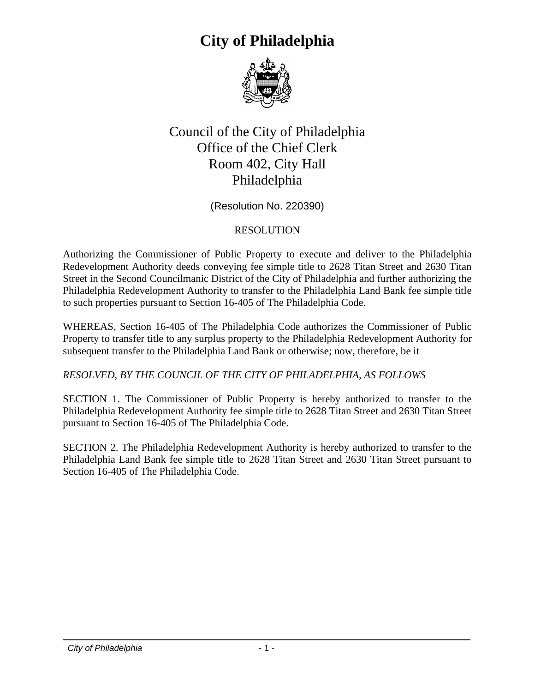## **City of Philadelphia**



## Council of the City of Philadelphia Office of the Chief Clerk Room 402, City Hall Philadelphia

(Resolution No. 220390)

## RESOLUTION

Authorizing the Commissioner of Public Property to execute and deliver to the Philadelphia Redevelopment Authority deeds conveying fee simple title to 2628 Titan Street and 2630 Titan Street in the Second Councilmanic District of the City of Philadelphia and further authorizing the Philadelphia Redevelopment Authority to transfer to the Philadelphia Land Bank fee simple title to such properties pursuant to Section 16-405 of The Philadelphia Code.

WHEREAS, Section 16-405 of The Philadelphia Code authorizes the Commissioner of Public Property to transfer title to any surplus property to the Philadelphia Redevelopment Authority for subsequent transfer to the Philadelphia Land Bank or otherwise; now, therefore, be it

*RESOLVED, BY THE COUNCIL OF THE CITY OF PHILADELPHIA, AS FOLLOWS*

SECTION 1. The Commissioner of Public Property is hereby authorized to transfer to the Philadelphia Redevelopment Authority fee simple title to 2628 Titan Street and 2630 Titan Street pursuant to Section 16-405 of The Philadelphia Code.

SECTION 2. The Philadelphia Redevelopment Authority is hereby authorized to transfer to the Philadelphia Land Bank fee simple title to 2628 Titan Street and 2630 Titan Street pursuant to Section 16-405 of The Philadelphia Code.